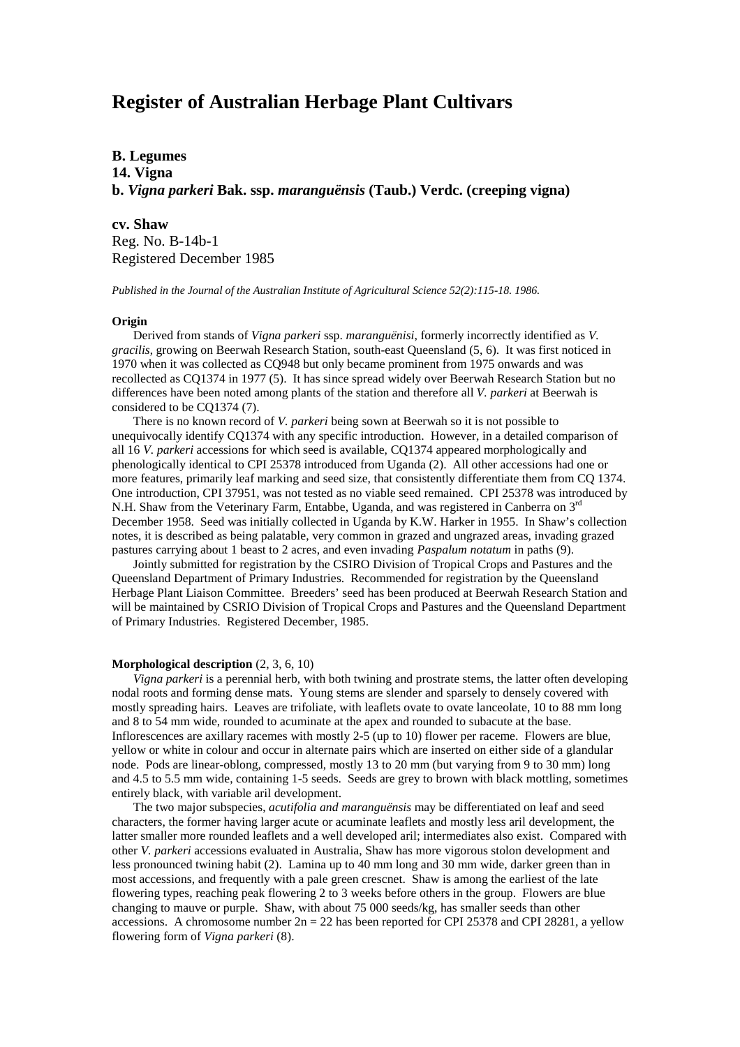# **Register of Australian Herbage Plant Cultivars**

**B. Legumes 14. Vigna b.** *Vigna parkeri* **Bak. ssp.** *maranguënsis* **(Taub.) Verdc. (creeping vigna)**

**cv. Shaw** Reg. No. B-14b-1 Registered December 1985

*Published in the Journal of the Australian Institute of Agricultural Science 52(2):115-18. 1986.*

## **Origin**

Derived from stands of *Vigna parkeri* ssp. *maranguënisi*, formerly incorrectly identified as *V. gracilis*, growing on Beerwah Research Station, south-east Queensland (5, 6). It was first noticed in 1970 when it was collected as CQ948 but only became prominent from 1975 onwards and was recollected as CQ1374 in 1977 (5). It has since spread widely over Beerwah Research Station but no differences have been noted among plants of the station and therefore all *V. parkeri* at Beerwah is considered to be CQ1374 (7).

There is no known record of *V. parkeri* being sown at Beerwah so it is not possible to unequivocally identify CQ1374 with any specific introduction. However, in a detailed comparison of all 16 *V. parkeri* accessions for which seed is available, CQ1374 appeared morphologically and phenologically identical to CPI 25378 introduced from Uganda (2). All other accessions had one or more features, primarily leaf marking and seed size, that consistently differentiate them from CQ 1374. One introduction, CPI 37951, was not tested as no viable seed remained. CPI 25378 was introduced by N.H. Shaw from the Veterinary Farm, Entabbe, Uganda, and was registered in Canberra on 3<sup>rd</sup> December 1958. Seed was initially collected in Uganda by K.W. Harker in 1955. In Shaw's collection notes, it is described as being palatable, very common in grazed and ungrazed areas, invading grazed pastures carrying about 1 beast to 2 acres, and even invading *Paspalum notatum* in paths (9).

Jointly submitted for registration by the CSIRO Division of Tropical Crops and Pastures and the Queensland Department of Primary Industries. Recommended for registration by the Queensland Herbage Plant Liaison Committee. Breeders' seed has been produced at Beerwah Research Station and will be maintained by CSRIO Division of Tropical Crops and Pastures and the Queensland Department of Primary Industries. Registered December, 1985.

## **Morphological description** (2, 3, 6, 10)

*Vigna parkeri* is a perennial herb, with both twining and prostrate stems, the latter often developing nodal roots and forming dense mats. Young stems are slender and sparsely to densely covered with mostly spreading hairs. Leaves are trifoliate, with leaflets ovate to ovate lanceolate, 10 to 88 mm long and 8 to 54 mm wide, rounded to acuminate at the apex and rounded to subacute at the base. Inflorescences are axillary racemes with mostly 2-5 (up to 10) flower per raceme. Flowers are blue, yellow or white in colour and occur in alternate pairs which are inserted on either side of a glandular node. Pods are linear-oblong, compressed, mostly 13 to 20 mm (but varying from 9 to 30 mm) long and 4.5 to 5.5 mm wide, containing 1-5 seeds. Seeds are grey to brown with black mottling, sometimes entirely black, with variable aril development.

The two major subspecies, *acutifolia and maranguënsis* may be differentiated on leaf and seed characters, the former having larger acute or acuminate leaflets and mostly less aril development, the latter smaller more rounded leaflets and a well developed aril; intermediates also exist. Compared with other *V. parkeri* accessions evaluated in Australia, Shaw has more vigorous stolon development and less pronounced twining habit (2). Lamina up to 40 mm long and 30 mm wide, darker green than in most accessions, and frequently with a pale green crescnet. Shaw is among the earliest of the late flowering types, reaching peak flowering 2 to 3 weeks before others in the group. Flowers are blue changing to mauve or purple. Shaw, with about 75 000 seeds/kg, has smaller seeds than other accessions. A chromosome number  $2n = 22$  has been reported for CPI 25378 and CPI 28281, a yellow flowering form of *Vigna parkeri* (8).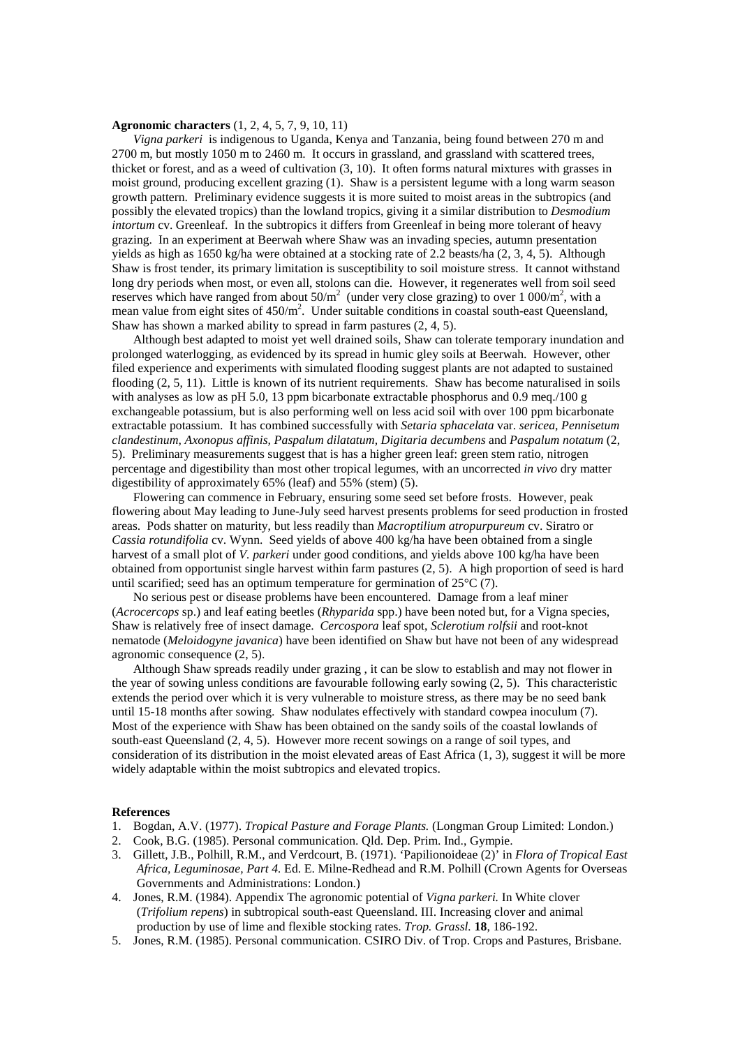#### **Agronomic characters** (1, 2, 4, 5, 7, 9, 10, 11)

*Vigna parkeri* is indigenous to Uganda, Kenya and Tanzania, being found between 270 m and 2700 m, but mostly 1050 m to 2460 m. It occurs in grassland, and grassland with scattered trees, thicket or forest, and as a weed of cultivation (3, 10). It often forms natural mixtures with grasses in moist ground, producing excellent grazing (1). Shaw is a persistent legume with a long warm season growth pattern. Preliminary evidence suggests it is more suited to moist areas in the subtropics (and possibly the elevated tropics) than the lowland tropics, giving it a similar distribution to *Desmodium intortum* cv. Greenleaf. In the subtropics it differs from Greenleaf in being more tolerant of heavy grazing. In an experiment at Beerwah where Shaw was an invading species, autumn presentation yields as high as 1650 kg/ha were obtained at a stocking rate of 2.2 beasts/ha (2, 3, 4, 5). Although Shaw is frost tender, its primary limitation is susceptibility to soil moisture stress. It cannot withstand long dry periods when most, or even all, stolons can die. However, it regenerates well from soil seed reserves which have ranged from about  $50/m^2$  (under very close grazing) to over 1 000/m<sup>2</sup>, with a mean value from eight sites of 450/m<sup>2</sup>. Under suitable conditions in coastal south-east Queensland, Shaw has shown a marked ability to spread in farm pastures (2, 4, 5).

Although best adapted to moist yet well drained soils, Shaw can tolerate temporary inundation and prolonged waterlogging, as evidenced by its spread in humic gley soils at Beerwah. However, other filed experience and experiments with simulated flooding suggest plants are not adapted to sustained flooding (2, 5, 11). Little is known of its nutrient requirements. Shaw has become naturalised in soils with analyses as low as pH 5.0, 13 ppm bicarbonate extractable phosphorus and 0.9 meg./100 g exchangeable potassium, but is also performing well on less acid soil with over 100 ppm bicarbonate extractable potassium. It has combined successfully with *Setaria sphacelata* var. *sericea, Pennisetum clandestinum, Axonopus affinis, Paspalum dilatatum, Digitaria decumbens* and *Paspalum notatum* (2, 5). Preliminary measurements suggest that is has a higher green leaf: green stem ratio, nitrogen percentage and digestibility than most other tropical legumes, with an uncorrected *in vivo* dry matter digestibility of approximately 65% (leaf) and 55% (stem) (5).

Flowering can commence in February, ensuring some seed set before frosts. However, peak flowering about May leading to June-July seed harvest presents problems for seed production in frosted areas. Pods shatter on maturity, but less readily than *Macroptilium atropurpureum* cv. Siratro or *Cassia rotundifolia* cv. Wynn. Seed yields of above 400 kg/ha have been obtained from a single harvest of a small plot of *V. parkeri* under good conditions, and yields above 100 kg/ha have been obtained from opportunist single harvest within farm pastures (2, 5). A high proportion of seed is hard until scarified; seed has an optimum temperature for germination of 25°C (7).

No serious pest or disease problems have been encountered. Damage from a leaf miner (*Acrocercops* sp.) and leaf eating beetles (*Rhyparida* spp.) have been noted but, for a Vigna species, Shaw is relatively free of insect damage. *Cercospora* leaf spot, *Sclerotium rolfsii* and root-knot nematode (*Meloidogyne javanica*) have been identified on Shaw but have not been of any widespread agronomic consequence (2, 5).

Although Shaw spreads readily under grazing , it can be slow to establish and may not flower in the year of sowing unless conditions are favourable following early sowing (2, 5). This characteristic extends the period over which it is very vulnerable to moisture stress, as there may be no seed bank until 15-18 months after sowing. Shaw nodulates effectively with standard cowpea inoculum (7). Most of the experience with Shaw has been obtained on the sandy soils of the coastal lowlands of south-east Queensland (2, 4, 5). However more recent sowings on a range of soil types, and consideration of its distribution in the moist elevated areas of East Africa (1, 3), suggest it will be more widely adaptable within the moist subtropics and elevated tropics.

#### **References**

- 1. Bogdan, A.V. (1977). *Tropical Pasture and Forage Plants.* (Longman Group Limited: London.)
- 2. Cook, B.G. (1985). Personal communication. Qld. Dep. Prim. Ind., Gympie.
- 3. Gillett, J.B., Polhill, R.M., and Verdcourt, B. (1971). 'Papilionoideae (2)' in *Flora of Tropical East Africa, Leguminosae, Part 4.* Ed. E. Milne-Redhead and R.M. Polhill (Crown Agents for Overseas Governments and Administrations: London.)
- 4. Jones, R.M. (1984). Appendix The agronomic potential of *Vigna parkeri.* In White clover (*Trifolium repens*) in subtropical south-east Queensland. III. Increasing clover and animal production by use of lime and flexible stocking rates. *Trop. Grassl.* **18**, 186-192.
- 5. Jones, R.M. (1985). Personal communication. CSIRO Div. of Trop. Crops and Pastures, Brisbane.